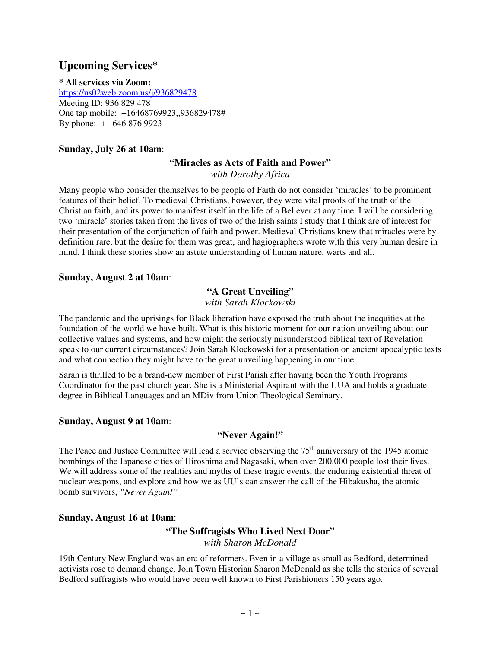# **Upcoming Services\***

**\* All services via Zoom:**  https://us02web.zoom.us/j/936829478 Meeting ID: 936 829 478 One tap mobile: +16468769923,,936829478# By phone: +1 646 876 9923

# **Sunday, July 26 at 10am**:

#### **"Miracles as Acts of Faith and Power"**

*with Dorothy Africa* 

Many people who consider themselves to be people of Faith do not consider 'miracles' to be prominent features of their belief. To medieval Christians, however, they were vital proofs of the truth of the Christian faith, and its power to manifest itself in the life of a Believer at any time. I will be considering two 'miracle' stories taken from the lives of two of the Irish saints I study that I think are of interest for their presentation of the conjunction of faith and power. Medieval Christians knew that miracles were by definition rare, but the desire for them was great, and hagiographers wrote with this very human desire in mind. I think these stories show an astute understanding of human nature, warts and all.

## **Sunday, August 2 at 10am**:

## **"A Great Unveiling"**

*with Sarah Klockowski* 

The pandemic and the uprisings for Black liberation have exposed the truth about the inequities at the foundation of the world we have built. What is this historic moment for our nation unveiling about our collective values and systems, and how might the seriously misunderstood biblical text of Revelation speak to our current circumstances? Join Sarah Klockowski for a presentation on ancient apocalyptic texts and what connection they might have to the great unveiling happening in our time.

Sarah is thrilled to be a brand-new member of First Parish after having been the Youth Programs Coordinator for the past church year. She is a Ministerial Aspirant with the UUA and holds a graduate degree in Biblical Languages and an MDiv from Union Theological Seminary.

## **Sunday, August 9 at 10am**:

## **"Never Again!"**

The Peace and Justice Committee will lead a service observing the  $75<sup>th</sup>$  anniversary of the 1945 atomic bombings of the Japanese cities of Hiroshima and Nagasaki, when over 200,000 people lost their lives. We will address some of the realities and myths of these tragic events, the enduring existential threat of nuclear weapons, and explore and how we as UU's can answer the call of the Hibakusha, the atomic bomb survivors, *"Never Again!"*

## **Sunday, August 16 at 10am**:

# **"The Suffragists Who Lived Next Door"**  *with Sharon McDonald*

19th Century New England was an era of reformers. Even in a village as small as Bedford, determined activists rose to demand change. Join Town Historian Sharon McDonald as she tells the stories of several Bedford suffragists who would have been well known to First Parishioners 150 years ago.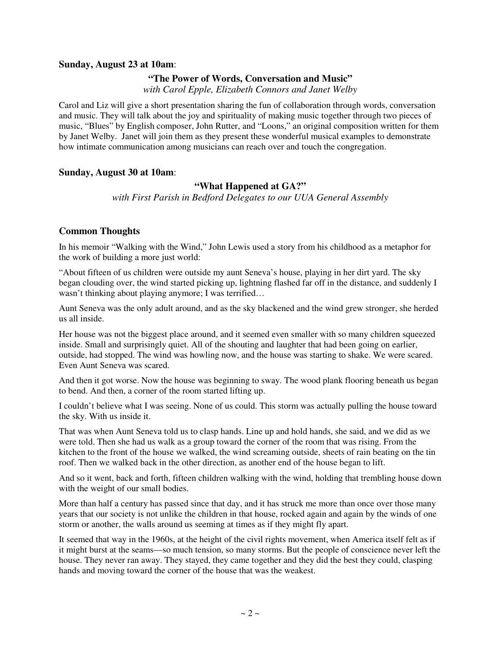#### **Sunday, August 23 at 10am**:

#### **"The Power of Words, Conversation and Music"**

*with Carol Epple, Elizabeth Connors and Janet Welby* 

Carol and Liz will give a short presentation sharing the fun of collaboration through words, conversation and music. They will talk about the joy and spirituality of making music together through two pieces of music, "Blues" by English composer, John Rutter, and "Loons," an original composition written for them by Janet Welby. Janet will join them as they present these wonderful musical examples to demonstrate how intimate communication among musicians can reach over and touch the congregation.

#### **Sunday, August 30 at 10am**:

#### **"What Happened at GA?"**

*with First Parish in Bedford Delegates to our UUA General Assembly* 

#### **Common Thoughts**

In his memoir "Walking with the Wind," John Lewis used a story from his childhood as a metaphor for the work of building a more just world:

"About fifteen of us children were outside my aunt Seneva's house, playing in her dirt yard. The sky began clouding over, the wind started picking up, lightning flashed far off in the distance, and suddenly I wasn't thinking about playing anymore; I was terrified...

Aunt Seneva was the only adult around, and as the sky blackened and the wind grew stronger, she herded us all inside.

Her house was not the biggest place around, and it seemed even smaller with so many children squeezed inside. Small and surprisingly quiet. All of the shouting and laughter that had been going on earlier, outside, had stopped. The wind was howling now, and the house was starting to shake. We were scared. Even Aunt Seneva was scared.

And then it got worse. Now the house was beginning to sway. The wood plank flooring beneath us began to bend. And then, a corner of the room started lifting up.

I couldn't believe what I was seeing. None of us could. This storm was actually pulling the house toward the sky. With us inside it.

That was when Aunt Seneva told us to clasp hands. Line up and hold hands, she said, and we did as we were told. Then she had us walk as a group toward the corner of the room that was rising. From the kitchen to the front of the house we walked, the wind screaming outside, sheets of rain beating on the tin roof. Then we walked back in the other direction, as another end of the house began to lift.

And so it went, back and forth, fifteen children walking with the wind, holding that trembling house down with the weight of our small bodies.

More than half a century has passed since that day, and it has struck me more than once over those many years that our society is not unlike the children in that house, rocked again and again by the winds of one storm or another, the walls around us seeming at times as if they might fly apart.

It seemed that way in the 1960s, at the height of the civil rights movement, when America itself felt as if it might burst at the seams—so much tension, so many storms. But the people of conscience never left the house. They never ran away. They stayed, they came together and they did the best they could, clasping hands and moving toward the corner of the house that was the weakest.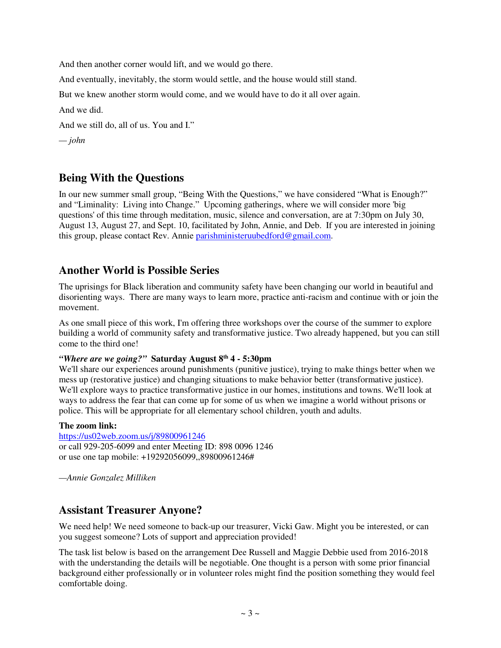And then another corner would lift, and we would go there.

And eventually, inevitably, the storm would settle, and the house would still stand.

But we knew another storm would come, and we would have to do it all over again.

And we did.

And we still do, all of us. You and I."

*— john* 

# **Being With the Questions**

In our new summer small group, "Being With the Questions," we have considered "What is Enough?" and "Liminality: Living into Change." Upcoming gatherings, where we will consider more 'big questions' of this time through meditation, music, silence and conversation, are at 7:30pm on July 30, August 13, August 27, and Sept. 10, facilitated by John, Annie, and Deb. If you are interested in joining this group, please contact Rev. Annie parishministeruubedford@gmail.com.

# **Another World is Possible Series**

The uprisings for Black liberation and community safety have been changing our world in beautiful and disorienting ways. There are many ways to learn more, practice anti-racism and continue with or join the movement.

As one small piece of this work, I'm offering three workshops over the course of the summer to explore building a world of community safety and transformative justice. Two already happened, but you can still come to the third one!

## *"Where are we going?"* **Saturday August 8th 4 - 5:30pm**

We'll share our experiences around punishments (punitive justice), trying to make things better when we mess up (restorative justice) and changing situations to make behavior better (transformative justice). We'll explore ways to practice transformative justice in our homes, institutions and towns. We'll look at ways to address the fear that can come up for some of us when we imagine a world without prisons or police. This will be appropriate for all elementary school children, youth and adults.

## **The zoom link:**

https://us02web.zoom.us/j/89800961246 or call 929-205-6099 and enter Meeting ID: 898 0096 1246 or use one tap mobile: +19292056099,,89800961246#

*—Annie Gonzalez Milliken* 

# **Assistant Treasurer Anyone?**

We need help! We need someone to back-up our treasurer, Vicki Gaw. Might you be interested, or can you suggest someone? Lots of support and appreciation provided!

The task list below is based on the arrangement Dee Russell and Maggie Debbie used from 2016-2018 with the understanding the details will be negotiable. One thought is a person with some prior financial background either professionally or in volunteer roles might find the position something they would feel comfortable doing.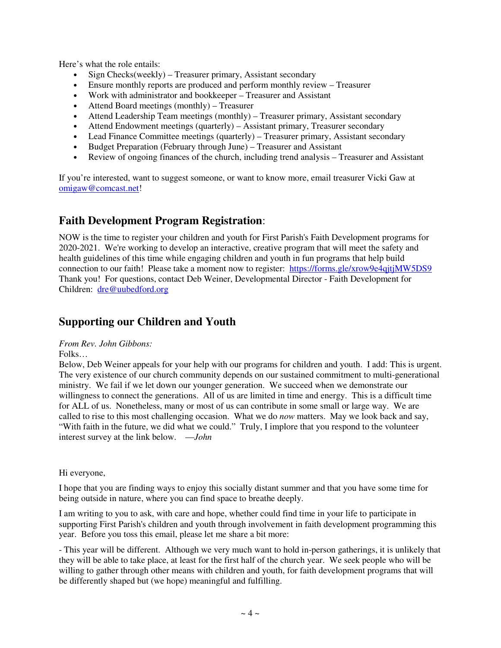Here's what the role entails:

- Sign Checks(weekly) Treasurer primary, Assistant secondary
- Ensure monthly reports are produced and perform monthly review Treasurer
- Work with administrator and bookkeeper Treasurer and Assistant
- Attend Board meetings (monthly) Treasurer
- Attend Leadership Team meetings (monthly) Treasurer primary, Assistant secondary
- Attend Endowment meetings (quarterly) Assistant primary, Treasurer secondary
- Lead Finance Committee meetings (quarterly) Treasurer primary, Assistant secondary
- Budget Preparation (February through June) Treasurer and Assistant
- Review of ongoing finances of the church, including trend analysis Treasurer and Assistant

If you're interested, want to suggest someone, or want to know more, email treasurer Vicki Gaw at omigaw@comcast.net!

# **Faith Development Program Registration**:

NOW is the time to register your children and youth for First Parish's Faith Development programs for 2020-2021. We're working to develop an interactive, creative program that will meet the safety and health guidelines of this time while engaging children and youth in fun programs that help build connection to our faith! Please take a moment now to register: https://forms.gle/xrow9e4qjtjMW5DS9 Thank you! For questions, contact Deb Weiner, Developmental Director - Faith Development for Children: dre@uubedford.org

# **Supporting our Children and Youth**

## *From Rev. John Gibbons:*

Folks…

Below, Deb Weiner appeals for your help with our programs for children and youth. I add: This is urgent. The very existence of our church community depends on our sustained commitment to multi-generational ministry. We fail if we let down our younger generation. We succeed when we demonstrate our willingness to connect the generations. All of us are limited in time and energy. This is a difficult time for ALL of us. Nonetheless, many or most of us can contribute in some small or large way. We are called to rise to this most challenging occasion. What we do *now* matters. May we look back and say, "With faith in the future, we did what we could." Truly, I implore that you respond to the volunteer interest survey at the link below. —*John* 

Hi everyone,

I hope that you are finding ways to enjoy this socially distant summer and that you have some time for being outside in nature, where you can find space to breathe deeply.

I am writing to you to ask, with care and hope, whether could find time in your life to participate in supporting First Parish's children and youth through involvement in faith development programming this year. Before you toss this email, please let me share a bit more:

- This year will be different. Although we very much want to hold in-person gatherings, it is unlikely that they will be able to take place, at least for the first half of the church year. We seek people who will be willing to gather through other means with children and youth, for faith development programs that will be differently shaped but (we hope) meaningful and fulfilling.